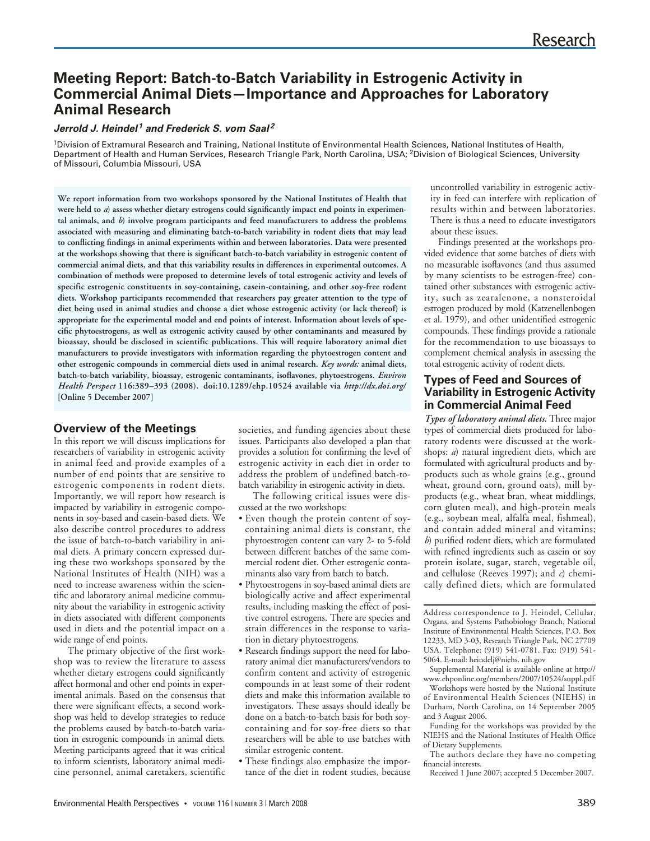# **Meeting Report: Batch-to-Batch Variability in Estrogenic Activity in Commercial Animal Diets—Importance and Approaches for Laboratory Animal Research**

#### **Jerrold J. Heindel <sup>1</sup> and Frederick S. vom Saal 2**

<sup>1</sup>Division of Extramural Research and Training, National Institute of Environmental Health Sciences, National Institutes of Health, Department of Health and Human Services, Research Triangle Park, North Carolina, USA; 2Division of Biological Sciences, University of Missouri, Columbia Missouri, USA

**We report information from two workshops sponsored by the National Institutes of Health that were held to** *a***) assess whether dietary estrogens could significantly impact end points in experimental animals, and** *b***) involve program participants and feed manufacturers to address the problems associated with measuring and eliminating batch-to-batch variability in rodent diets that may lead to conflicting findings in animal experiments within and between laboratories. Data were presented at the workshops showing that there is significant batch-to-batch variability in estrogenic content of commercial animal diets, and that this variability results in differences in experimental outcomes. A combination of methods were proposed to determine levels of total estrogenic activity and levels of specific estrogenic constituents in soy-containing, casein-containing, and other soy-free rodent diets. Workshop participants recommended that researchers pay greater attention to the type of diet being used in animal studies and choose a diet whose estrogenic activity (or lack thereof) is appropriate for the experimental model and end points of interest. Information about levels of specific phytoestrogens, as well as estrogenic activity caused by other contaminants and measured by bioassay, should be disclosed in scientific publications. This will require laboratory animal diet manufacturers to provide investigators with information regarding the phytoestrogen content and other estrogenic compounds in commercial diets used in animal research.** *Key words:* **animal diets, batch-to-batch variability, bioassay, estrogenic contaminants, isoflavones, phytoestrogens.** *Environ Health Perspect* **116:389–393 (2008). doi:10.1289/ehp.10524 available via** *http://dx.doi.org/* **[Online 5 December 2007]**

#### **Overview of the Meetings**

In this report we will discuss implications for researchers of variability in estrogenic activity in animal feed and provide examples of a number of end points that are sensitive to estrogenic components in rodent diets. Importantly, we will report how research is impacted by variability in estrogenic components in soy-based and casein-based diets. We also describe control procedures to address the issue of batch-to-batch variability in animal diets. A primary concern expressed during these two workshops sponsored by the National Institutes of Health (NIH) was a need to increase awareness within the scientific and laboratory animal medicine community about the variability in estrogenic activity in diets associated with different components used in diets and the potential impact on a wide range of end points.

The primary objective of the first workshop was to review the literature to assess whether dietary estrogens could significantly affect hormonal and other end points in experimental animals. Based on the consensus that there were significant effects, a second workshop was held to develop strategies to reduce the problems caused by batch-to-batch variation in estrogenic compounds in animal diets. Meeting participants agreed that it was critical to inform scientists, laboratory animal medicine personnel, animal caretakers, scientific societies, and funding agencies about these issues. Participants also developed a plan that provides a solution for confirming the level of estrogenic activity in each diet in order to address the problem of undefined batch-tobatch variability in estrogenic activity in diets.

The following critical issues were discussed at the two workshops:

- Even though the protein content of soycontaining animal diets is constant, the phytoestrogen content can vary 2- to 5-fold between different batches of the same commercial rodent diet. Other estrogenic contaminants also vary from batch to batch.
- Phytoestrogens in soy-based animal diets are biologically active and affect experimental results, including masking the effect of positive control estrogens. There are species and strain differences in the response to variation in dietary phytoestrogens.
- Research findings support the need for laboratory animal diet manufacturers/vendors to confirm content and activity of estrogenic compounds in at least some of their rodent diets and make this information available to investigators. These assays should ideally be done on a batch-to-batch basis for both soycontaining and for soy-free diets so that researchers will be able to use batches with similar estrogenic content.
- These findings also emphasize the importance of the diet in rodent studies, because

uncontrolled variability in estrogenic activity in feed can interfere with replication of results within and between laboratories. There is thus a need to educate investigators about these issues.

Findings presented at the workshops provided evidence that some batches of diets with no measurable isoflavones (and thus assumed by many scientists to be estrogen-free) contained other substances with estrogenic activity, such as zearalenone, a nonsteroidal estrogen produced by mold (Katzenellenbogen et al. 1979), and other unidentified estrogenic compounds. These findings provide a rationale for the recommendation to use bioassays to complement chemical analysis in assessing the total estrogenic activity of rodent diets.

#### **Types of Feed and Sources of Variability in Estrogenic Activity in Commercial Animal Feed**

*Types of laboratory animal diets.* Three major types of commercial diets produced for laboratory rodents were discussed at the workshops: *a*) natural ingredient diets, which are formulated with agricultural products and byproducts such as whole grains (e.g., ground wheat, ground corn, ground oats), mill byproducts (e.g., wheat bran, wheat middlings, corn gluten meal), and high-protein meals (e.g., soybean meal, alfalfa meal, fishmeal), and contain added mineral and vitamins; *b*) purified rodent diets, which are formulated with refined ingredients such as casein or soy protein isolate, sugar, starch, vegetable oil, and cellulose (Reeves 1997); and *c*) chemically defined diets, which are formulated

Supplemental Material is available online at http:// www.ehponline.org/members/2007/10524/suppl.pdf

Workshops were hosted by the National Institute of Environmental Health Sciences (NIEHS) in Durham, North Carolina, on 14 September 2005 and 3 August 2006.

Funding for the workshops was provided by the NIEHS and the National Institutes of Health Office of Dietary Supplements.

The authors declare they have no competing financial interests.

Received 1 June 2007; accepted 5 December 2007.

Address correspondence to J. Heindel, Cellular, Organs, and Systems Pathobiology Branch, National Institute of Environmental Health Sciences, P.O. Box 12233, MD 3-03, Research Triangle Park, NC 27709 USA. Telephone: (919) 541-0781. Fax: (919) 541- 5064. E-mail: heindelj@niehs. nih.gov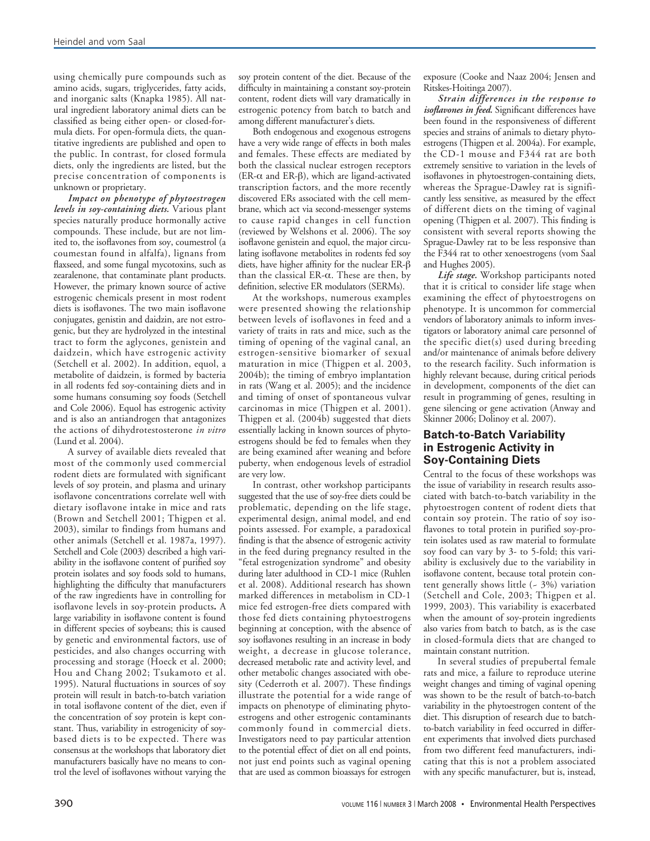using chemically pure compounds such as amino acids, sugars, triglycerides, fatty acids, and inorganic salts (Knapka 1985). All natural ingredient laboratory animal diets can be classified as being either open- or closed-formula diets. For open-formula diets, the quantitative ingredients are published and open to the public. In contrast, for closed formula diets, only the ingredients are listed, but the precise concentration of components is unknown or proprietary.

*Impact on phenotype of phytoestrogen levels in soy-containing diets.* Various plant species naturally produce hormonally active compounds. These include, but are not limited to, the isoflavones from soy, coumestrol (a coumestan found in alfalfa), lignans from flaxseed, and some fungal mycotoxins, such as zearalenone, that contaminate plant products. However, the primary known source of active estrogenic chemicals present in most rodent diets is isoflavones. The two main isoflavone conjugates, genistin and daidzin, are not estrogenic, but they are hydrolyzed in the intestinal tract to form the aglycones, genistein and daidzein, which have estrogenic activity (Setchell et al. 2002). In addition, equol, a metabolite of daidzein, is formed by bacteria in all rodents fed soy-containing diets and in some humans consuming soy foods (Setchell and Cole 2006). Equol has estrogenic activity and is also an antiandrogen that antagonizes the actions of dihydrotestosterone *in vitro* (Lund et al. 2004).

A survey of available diets revealed that most of the commonly used commercial rodent diets are formulated with significant levels of soy protein, and plasma and urinary isoflavone concentrations correlate well with dietary isoflavone intake in mice and rats (Brown and Setchell 2001; Thigpen et al. 2003), similar to findings from humans and other animals (Setchell et al. 1987a, 1997). Setchell and Cole (2003) described a high variability in the isoflavone content of purified soy protein isolates and soy foods sold to humans, highlighting the difficulty that manufacturers of the raw ingredients have in controlling for isoflavone levels in soy-protein products**.** A large variability in isoflavone content is found in different species of soybeans; this is caused by genetic and environmental factors, use of pesticides, and also changes occurring with processing and storage (Hoeck et al. 2000; Hou and Chang 2002; Tsukamoto et al. 1995). Natural fluctuations in sources of soy protein will result in batch-to-batch variation in total isoflavone content of the diet, even if the concentration of soy protein is kept constant. Thus, variability in estrogenicity of soybased diets is to be expected. There was consensus at the workshops that laboratory diet manufacturers basically have no means to control the level of isoflavones without varying the

soy protein content of the diet. Because of the difficulty in maintaining a constant soy-protein content, rodent diets will vary dramatically in estrogenic potency from batch to batch and among different manufacturer's diets.

Both endogenous and exogenous estrogens have a very wide range of effects in both males and females. These effects are mediated by both the classical nuclear estrogen receptors (ER-α and ER-β), which are ligand-activated transcription factors, and the more recently discovered ERs associated with the cell membrane, which act via second-messenger systems to cause rapid changes in cell function (reviewed by Welshons et al. 2006). The soy isoflavone genistein and equol, the major circulating isoflavone metabolites in rodents fed soy diets, have higher affinity for the nuclear ER-β than the classical ER-α. These are then, by definition, selective ER modulators (SERMs).

At the workshops, numerous examples were presented showing the relationship between levels of isoflavones in feed and a variety of traits in rats and mice, such as the timing of opening of the vaginal canal, an estrogen-sensitive biomarker of sexual maturation in mice (Thigpen et al. 2003, 2004b); the timing of embryo implantation in rats (Wang et al. 2005); and the incidence and timing of onset of spontaneous vulvar carcinomas in mice (Thigpen et al. 2001). Thigpen et al. (2004b) suggested that diets essentially lacking in known sources of phytoestrogens should be fed to females when they are being examined after weaning and before puberty, when endogenous levels of estradiol are very low.

In contrast, other workshop participants suggested that the use of soy-free diets could be problematic, depending on the life stage, experimental design, animal model, and end points assessed. For example, a paradoxical finding is that the absence of estrogenic activity in the feed during pregnancy resulted in the "fetal estrogenization syndrome" and obesity during later adulthood in CD-1 mice (Ruhlen et al. 2008). Additional research has shown marked differences in metabolism in CD-1 mice fed estrogen-free diets compared with those fed diets containing phytoestrogens beginning at conception, with the absence of soy isoflavones resulting in an increase in body weight, a decrease in glucose tolerance, decreased metabolic rate and activity level, and other metabolic changes associated with obesity (Cederroth et al. 2007). These findings illustrate the potential for a wide range of impacts on phenotype of eliminating phytoestrogens and other estrogenic contaminants commonly found in commercial diets. Investigators need to pay particular attention to the potential effect of diet on all end points, not just end points such as vaginal opening that are used as common bioassays for estrogen

exposure (Cooke and Naaz 2004; Jensen and Ritskes-Hoitinga 2007).

*Strain differences in the response to isoflavones in feed.* Significant differences have been found in the responsiveness of different species and strains of animals to dietary phytoestrogens (Thigpen et al. 2004a). For example, the CD-1 mouse and F344 rat are both extremely sensitive to variation in the levels of isoflavones in phytoestrogen-containing diets, whereas the Sprague-Dawley rat is significantly less sensitive, as measured by the effect of different diets on the timing of vaginal opening (Thigpen et al. 2007). This finding is consistent with several reports showing the Sprague-Dawley rat to be less responsive than the F344 rat to other xenoestrogens (vom Saal and Hughes 2005).

*Life stage.* Workshop participants noted that it is critical to consider life stage when examining the effect of phytoestrogens on phenotype. It is uncommon for commercial vendors of laboratory animals to inform investigators or laboratory animal care personnel of the specific diet(s) used during breeding and/or maintenance of animals before delivery to the research facility. Such information is highly relevant because, during critical periods in development, components of the diet can result in programming of genes, resulting in gene silencing or gene activation (Anway and Skinner 2006; Dolinoy et al. 2007).

### **Batch-to-Batch Variability in Estrogenic Activity in Soy-Containing Diets**

Central to the focus of these workshops was the issue of variability in research results associated with batch-to-batch variability in the phytoestrogen content of rodent diets that contain soy protein. The ratio of soy isoflavones to total protein in purified soy-protein isolates used as raw material to formulate soy food can vary by 3- to 5-fold; this variability is exclusively due to the variability in isoflavone content, because total protein content generally shows little  $(-3%)$  variation (Setchell and Cole, 2003; Thigpen et al. 1999, 2003). This variability is exacerbated when the amount of soy-protein ingredients also varies from batch to batch, as is the case in closed-formula diets that are changed to maintain constant nutrition.

In several studies of prepubertal female rats and mice, a failure to reproduce uterine weight changes and timing of vaginal opening was shown to be the result of batch-to-batch variability in the phytoestrogen content of the diet. This disruption of research due to batchto-batch variability in feed occurred in different experiments that involved diets purchased from two different feed manufacturers, indicating that this is not a problem associated with any specific manufacturer, but is, instead,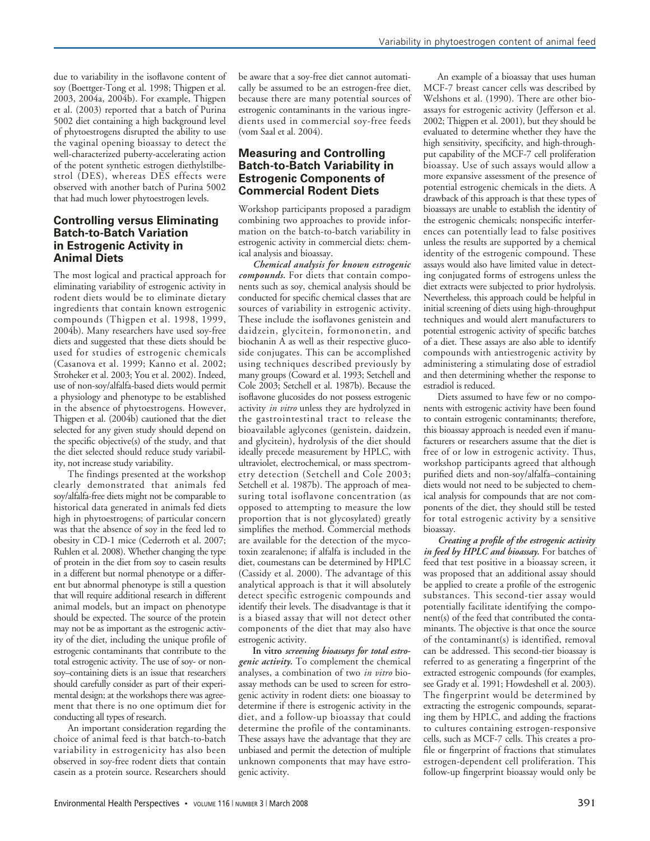due to variability in the isoflavone content of soy (Boettger-Tong et al. 1998; Thigpen et al. 2003, 2004a, 2004b). For example, Thigpen et al. (2003) reported that a batch of Purina 5002 diet containing a high background level of phytoestrogens disrupted the ability to use the vaginal opening bioassay to detect the well-characterized puberty-accelerating action of the potent synthetic estrogen diethylstilbestrol (DES), whereas DES effects were observed with another batch of Purina 5002 that had much lower phytoestrogen levels.

#### **Controlling versus Eliminating Batch-to-Batch Variation in Estrogenic Activity in Animal Diets**

The most logical and practical approach for eliminating variability of estrogenic activity in rodent diets would be to eliminate dietary ingredients that contain known estrogenic compounds (Thigpen et al. 1998, 1999, 2004b). Many researchers have used soy-free diets and suggested that these diets should be used for studies of estrogenic chemicals (Casanova et al. 1999; Kanno et al. 2002; Stroheker et al. 2003; You et al. 2002). Indeed, use of non-soy/alfalfa-based diets would permit a physiology and phenotype to be established in the absence of phytoestrogens. However, Thigpen et al. (2004b) cautioned that the diet selected for any given study should depend on the specific objective(s) of the study, and that the diet selected should reduce study variability, not increase study variability.

The findings presented at the workshop clearly demonstrated that animals fed soy/alfalfa-free diets might not be comparable to historical data generated in animals fed diets high in phytoestrogens; of particular concern was that the absence of soy in the feed led to obesity in CD-1 mice (Cederroth et al. 2007; Ruhlen et al. 2008). Whether changing the type of protein in the diet from soy to casein results in a different but normal phenotype or a different but abnormal phenotype is still a question that will require additional research in different animal models, but an impact on phenotype should be expected. The source of the protein may not be as important as the estrogenic activity of the diet, including the unique profile of estrogenic contaminants that contribute to the total estrogenic activity. The use of soy- or nonsoy–containing diets is an issue that researchers should carefully consider as part of their experimental design; at the workshops there was agreement that there is no one optimum diet for conducting all types of research.

An important consideration regarding the choice of animal feed is that batch-to-batch variability in estrogenicity has also been observed in soy-free rodent diets that contain casein as a protein source. Researchers should

be aware that a soy-free diet cannot automatically be assumed to be an estrogen-free diet, because there are many potential sources of estrogenic contaminants in the various ingredients used in commercial soy-free feeds (vom Saal et al. 2004).

## **Measuring and Controlling Batch-to-Batch Variability in Estrogenic Components of Commercial Rodent Diets**

Workshop participants proposed a paradigm combining two approaches to provide information on the batch-to-batch variability in estrogenic activity in commercial diets: chemical analysis and bioassay.

*Chemical analysis for known estrogenic compounds.* For diets that contain components such as soy, chemical analysis should be conducted for specific chemical classes that are sources of variability in estrogenic activity. These include the isoflavones genistein and daidzein, glycitein, formononetin, and biochanin A as well as their respective glucoside conjugates. This can be accomplished using techniques described previously by many groups (Coward et al. 1993; Setchell and Cole 2003; Setchell et al. 1987b). Because the isoflavone glucosides do not possess estrogenic activity *in vitro* unless they are hydrolyzed in the gastrointestinal tract to release the bioavailable aglycones (genistein, daidzein, and glycitein), hydrolysis of the diet should ideally precede measurement by HPLC, with ultraviolet, electrochemical, or mass spectrometry detection (Setchell and Cole 2003; Setchell et al. 1987b). The approach of measuring total isoflavone concentration (as opposed to attempting to measure the low proportion that is not glycosylated) greatly simplifies the method. Commercial methods are available for the detection of the mycotoxin zearalenone; if alfalfa is included in the diet, coumestans can be determined by HPLC (Cassidy et al. 2000). The advantage of this analytical approach is that it will absolutely detect specific estrogenic compounds and identify their levels. The disadvantage is that it is a biased assay that will not detect other components of the diet that may also have estrogenic activity.

**In vitro** *screening bioassays for total estrogenic activity.* To complement the chemical analyses, a combination of two *in vitro* bioassay methods can be used to screen for estrogenic activity in rodent diets: one bioassay to determine if there is estrogenic activity in the diet, and a follow-up bioassay that could determine the profile of the contaminants. These assays have the advantage that they are unbiased and permit the detection of multiple unknown components that may have estrogenic activity.

An example of a bioassay that uses human MCF-7 breast cancer cells was described by Welshons et al. (1990). There are other bioassays for estrogenic activity (Jefferson et al. 2002; Thigpen et al. 2001), but they should be evaluated to determine whether they have the high sensitivity, specificity, and high-throughput capability of the MCF-7 cell proliferation bioassay. Use of such assays would allow a more expansive assessment of the presence of potential estrogenic chemicals in the diets. A drawback of this approach is that these types of bioassays are unable to establish the identity of the estrogenic chemicals; nonspecific interferences can potentially lead to false positives unless the results are supported by a chemical identity of the estrogenic compound. These assays would also have limited value in detecting conjugated forms of estrogens unless the diet extracts were subjected to prior hydrolysis. Nevertheless, this approach could be helpful in initial screening of diets using high-throughput techniques and would alert manufacturers to potential estrogenic activity of specific batches of a diet. These assays are also able to identify compounds with antiestrogenic activity by administering a stimulating dose of estradiol and then determining whether the response to estradiol is reduced.

Diets assumed to have few or no components with estrogenic activity have been found to contain estrogenic contaminants; therefore, this bioassay approach is needed even if manufacturers or researchers assume that the diet is free of or low in estrogenic activity. Thus, workshop participants agreed that although purified diets and non-soy/alfalfa–containing diets would not need to be subjected to chemical analysis for compounds that are not components of the diet, they should still be tested for total estrogenic activity by a sensitive bioassay.

*Creating a profile of the estrogenic activity in feed by HPLC and bioassay.* For batches of feed that test positive in a bioassay screen, it was proposed that an additional assay should be applied to create a profile of the estrogenic substances. This second-tier assay would potentially facilitate identifying the component(s) of the feed that contributed the contaminants. The objective is that once the source of the contaminant(s) is identified, removal can be addressed. This second-tier bioassay is referred to as generating a fingerprint of the extracted estrogenic compounds (for examples, see Grady et al. 1991; Howdeshell et al. 2003). The fingerprint would be determined by extracting the estrogenic compounds, separating them by HPLC, and adding the fractions to cultures containing estrogen-responsive cells, such as MCF-7 cells. This creates a profile or fingerprint of fractions that stimulates estrogen-dependent cell proliferation. This follow-up fingerprint bioassay would only be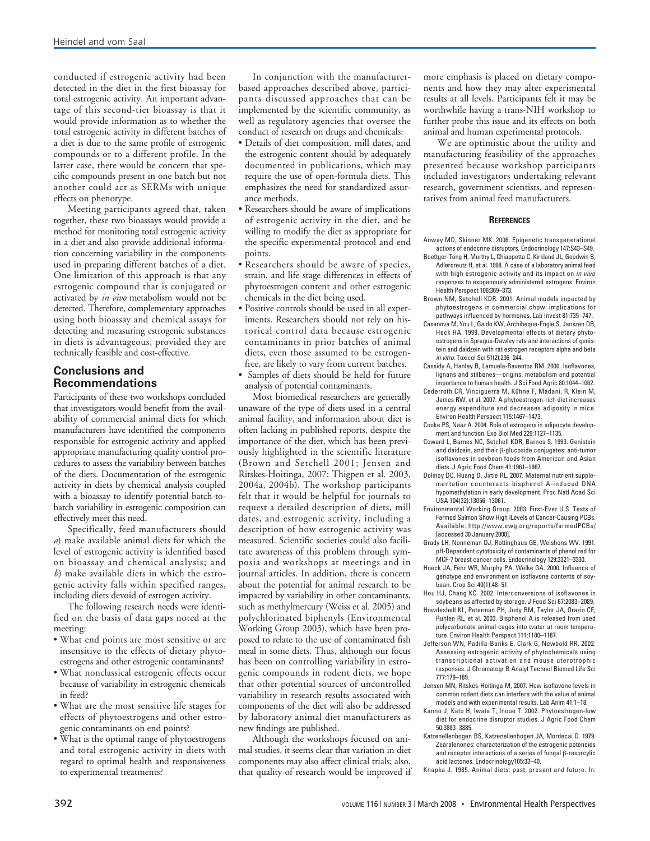conducted if estrogenic activity had been detected in the diet in the first bioassay for total estrogenic activity. An important advantage of this second-tier bioassay is that it would provide information as to whether the total estrogenic activity in different batches of a diet is due to the same profile of estrogenic compounds or to a different profile. In the latter case, there would be concern that specific compounds present in one batch but not another could act as SERMs with unique effects on phenotype.

Meeting participants agreed that, taken together, these two bioassays would provide a method for monitoring total estrogenic activity in a diet and also provide additional information concerning variability in the components used in preparing different batches of a diet. One limitation of this approach is that any estrogenic compound that is conjugated or activated by *in vivo* metabolism would not be detected. Therefore, complementary approaches using both bioassay and chemical assays for detecting and measuring estrogenic substances in diets is advantageous, provided they are technically feasible and cost-effective.

## **Conclusions and Recommendations**

Participants of these two workshops concluded that investigators would benefit from the availability of commercial animal diets for which manufacturers have identified the components responsible for estrogenic activity and applied appropriate manufacturing quality control procedures to assess the variability between batches of the diets. Documentation of the estrogenic activity in diets by chemical analysis coupled with a bioassay to identify potential batch-tobatch variability in estrogenic composition can effectively meet this need.

Specifically, feed manufacturers should *a*) make available animal diets for which the level of estrogenic activity is identified based on bioassay and chemical analysis; and *b*) make available diets in which the estrogenic activity falls within specified ranges, including diets devoid of estrogen activity.

The following research needs were identified on the basis of data gaps noted at the meeting:

- What end points are most sensitive or are insensitive to the effects of dietary phytoestrogens and other estrogenic contaminants?
- What nonclassical estrogenic effects occur because of variability in estrogenic chemicals in feed?
- What are the most sensitive life stages for effects of phytoestrogens and other estrogenic contaminants on end points?
- What is the optimal range of phytoestrogens and total estrogenic activity in diets with regard to optimal health and responsiveness to experimental treatments?

In conjunction with the manufacturerbased approaches described above, participants discussed approaches that can be implemented by the scientific community, as well as regulatory agencies that oversee the conduct of research on drugs and chemicals:

- Details of diet composition, mill dates, and the estrogenic content should by adequately documented in publications, which may require the use of open-formula diets. This emphasizes the need for standardized assurance methods.
- Researchers should be aware of implications of estrogenic activity in the diet, and be willing to modify the diet as appropriate for the specific experimental protocol and end points.
- Researchers should be aware of species, strain, and life stage differences in effects of phytoestrogen content and other estrogenic chemicals in the diet being used.
- Positive controls should be used in all experiments. Researchers should not rely on historical control data because estrogenic contaminants in prior batches of animal diets, even those assumed to be estrogenfree, are likely to vary from current batches.
- Samples of diets should be held for future analysis of potential contaminants.

Most biomedical researchers are generally unaware of the type of diets used in a central animal facility, and information about diet is often lacking in published reports, despite the importance of the diet, which has been previously highlighted in the scientific literature (Brown and Setchell 2001; Jensen and Ritskes-Hoitinga, 2007; Thigpen et al. 2003, 2004a, 2004b). The workshop participants felt that it would be helpful for journals to request a detailed description of diets, mill dates, and estrogenic activity, including a description of how estrogenic activity was measured. Scientific societies could also facilitate awareness of this problem through symposia and workshops at meetings and in journal articles. In addition, there is concern about the potential for animal research to be impacted by variability in other contaminants, such as methylmercury (Weiss et al. 2005) and polychlorinated biphenyls (Environmental Working Group 2003), which have been proposed to relate to the use of contaminated fish meal in some diets. Thus, although our focus has been on controlling variability in estrogenic compounds in rodent diets, we hope that other potential sources of uncontrolled variability in research results associated with components of the diet will also be addressed by laboratory animal diet manufacturers as new findings are published.

Although the workshops focused on animal studies, it seems clear that variation in diet components may also affect clinical trials; also, that quality of research would be improved if

more emphasis is placed on dietary components and how they may alter experimental results at all levels. Participants felt it may be worthwhile having a trans-NIH workshop to further probe this issue and its effects on both animal and human experimental protocols.

We are optimistic about the utility and manufacturing feasibility of the approaches presented because workshop participants included investigators undertaking relevant research, government scientists, and representatives from animal feed manufacturers.

#### **REFERENCES**

- Anway MD, Skinner MK. 2006. Epigenetic transgenerational actions of endocrine disruptors. Endocrinology 147:S43–S49. Boettger-Tong H, Murthy L, Chiappetta C, Kirkland JL, Goodwin B,
	- Adlercreutz H, et al. 1998. A case of a laboratory animal feed with high estrogenic activity and its impact on in vivo responses to exogenously administered estrogens. Environ Health Perspect 106:369–373.
- Brown NM, Setchell KDR. 2001. Animal models impacted by phytoestrogens in commercial chow: implications for pathways influenced by hormones. Lab Invest 81:735–747.
- Casanova M, You L, Gaido KW, Archibeque-Engle S, Janszen DB, Heck HA. 1999. Developmental effects of dietary phytoestrogens in Sprague-Dawley rats and interactions of genistein and daidzein with rat estrogen receptors alpha and beta in vitro. Toxicol Sci 51(2):236–244.
- Cassidy A, Hanley B, Lamuela-Raventos RM. 2000. Isoflavones, lignans and stilbenes—origins, metabolism and potential importance to human health. J Sci Food Agric 80:1044–1062.
- Cederroth CR, Vinciguerra M, Kühne F, Madani, R, Klein M, James RW, et al. 2007. A phytoestrogen-rich diet increases energy expenditure and decreases adiposity in mice. Environ Health Perspect 115:1467–1473.
- Cooke PS, Naaz A. 2004. Role of estrogens in adipocyte development and function. Exp Biol Med 229:1127–1135.
- Coward L, Barnes NC, Setchell KDR, Barnes S. 1993. Genistein and daidzein, and their β-glucoside conjugates: anti-tumor isoflavones in soybean foods from American and Asian diets. J Agric Food Chem 41:1961–1967.
- Dolinoy DC, Huang D, Jirtle RL. 2007. Maternal nutrient supplementation counteracts bisphenol A-induced DNA hypomethylation in early development. Proc Natl Acad Sci USA 104(32):13056–13061.
- Environmental Working Group. 2003. First-Ever U.S. Tests of Farmed Salmon Show High lLevels of Cancer-Causing PCBs. Available: http://www.ewg.org/reports/farmedPCBs/ [accessed 30 January 2008].
- Grady LH, Nonneman DJ, Rottinghaus GE, Welshons WV. 1991. pH-Dependent cytotoxicity of contaminants of phenol red for MCF-7 breast cancer cells. Endocrinology 129:3321–3330.
- Hoeck JA, Fehr WR, Murphy PA, Welke GA. 2000. Influence of genotype and environment on isoflavone contents of soybean. Crop Sci 40(1):48–51.
- Hou HJ, Chang KC. 2002. Interconversions of isoflavones in soybeans as affected by storage. J Food Sci 67:2083–2089.
- Howdeshell KL, Peterman PH, Judy BM, Taylor JA, Orazio CE, Ruhlen RL, et al. 2003. Bisphenol A is released from used polycarbonate animal cages into water at room temperature. Environ Health Perspect 111:1180–1187.
- Jefferson WN, Padilla-Banks E, Clark G, Newbold RR. 2002. Assessing estrogenic activity of phytochemicals using transcriptional activation and mouse uterotrophic responses. J Chromatogr B Analyt Technol Biomed Life Sci 777:179–189.
- Jensen MN, Ritskes-Hoitinga M, 2007. How isoflavone levels in common rodent diets can interfere with the value of animal models and with experimental results. Lab Anim 41:1–18.
- Kanno J, Kato H, Iwata T, Inoue T. 2002. Phytoestrogen-low diet for endocrine disruptor studies. J Agric Food Chem 50:3883–3885.
- Katzenellenbogen BS, Katzenellenbogen JA, Mordecai D. 1979. Zearalenones: characterization of the estrogenic potencies and receptor interactions of a series of fungal β-resorcylic acid lactones. Endocrinology105:33–40.

Knapka J. 1985. Animal diets: past, present and future. In: